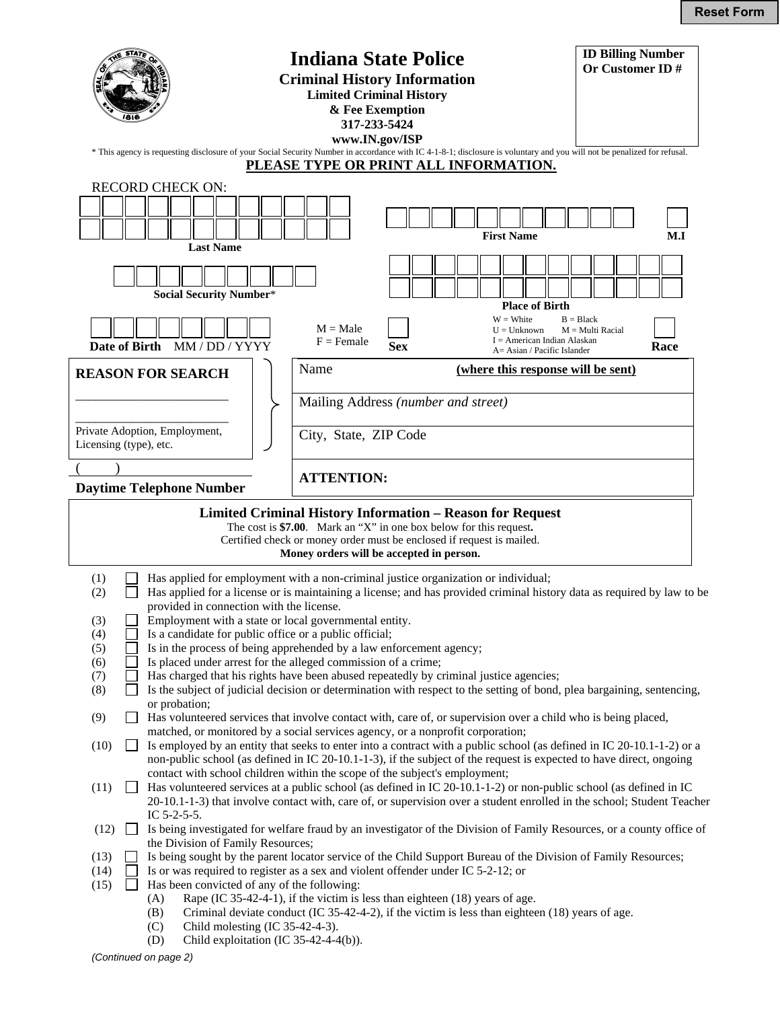|                                                                                                                                                                                                                                                                                                                                                                                                                                                                                                                                                                                                                                                                                                                                                                                                |                                                                                                                                                                                                                                                                                                                                                                                                                                                                                                                                                                                                                                                                                                                                                                                                                 | <b>Indiana State Police</b><br><b>Criminal History Information</b> | <b>Limited Criminal History</b><br>& Fee Exemption<br>317-233-5424<br>www.IN.gov/ISP |                                    |                              |                                                                                        |                                   | <b>ID Billing Number</b><br>Or Customer ID# |
|------------------------------------------------------------------------------------------------------------------------------------------------------------------------------------------------------------------------------------------------------------------------------------------------------------------------------------------------------------------------------------------------------------------------------------------------------------------------------------------------------------------------------------------------------------------------------------------------------------------------------------------------------------------------------------------------------------------------------------------------------------------------------------------------|-----------------------------------------------------------------------------------------------------------------------------------------------------------------------------------------------------------------------------------------------------------------------------------------------------------------------------------------------------------------------------------------------------------------------------------------------------------------------------------------------------------------------------------------------------------------------------------------------------------------------------------------------------------------------------------------------------------------------------------------------------------------------------------------------------------------|--------------------------------------------------------------------|--------------------------------------------------------------------------------------|------------------------------------|------------------------------|----------------------------------------------------------------------------------------|-----------------------------------|---------------------------------------------|
| * This agency is requesting disclosure of your Social Security Number in accordance with IC 4-1-8-1; disclosure is voluntary and you will not be penalized for refusal.<br><u>PLEASE TYPE OR PRINT ALL INFORMATION.</u>                                                                                                                                                                                                                                                                                                                                                                                                                                                                                                                                                                        |                                                                                                                                                                                                                                                                                                                                                                                                                                                                                                                                                                                                                                                                                                                                                                                                                 |                                                                    |                                                                                      |                                    |                              |                                                                                        |                                   |                                             |
|                                                                                                                                                                                                                                                                                                                                                                                                                                                                                                                                                                                                                                                                                                                                                                                                | <b>RECORD CHECK ON:</b><br><b>Last Name</b>                                                                                                                                                                                                                                                                                                                                                                                                                                                                                                                                                                                                                                                                                                                                                                     |                                                                    |                                                                                      |                                    | <b>First Name</b>            |                                                                                        |                                   | M.I                                         |
|                                                                                                                                                                                                                                                                                                                                                                                                                                                                                                                                                                                                                                                                                                                                                                                                | <b>Social Security Number*</b>                                                                                                                                                                                                                                                                                                                                                                                                                                                                                                                                                                                                                                                                                                                                                                                  |                                                                    |                                                                                      |                                    |                              |                                                                                        |                                   |                                             |
| Date of Birth                                                                                                                                                                                                                                                                                                                                                                                                                                                                                                                                                                                                                                                                                                                                                                                  | MM/DD/YYYY                                                                                                                                                                                                                                                                                                                                                                                                                                                                                                                                                                                                                                                                                                                                                                                                      | $M = Male$<br>$F = Female$                                         | <b>Sex</b>                                                                           |                                    | $W = White$<br>$U = Unknown$ | <b>Place of Birth</b><br>$I =$ American Indian Alaskan<br>A = Asian / Pacific Islander | $B = Black$<br>$M = Multi$ Racial | Race                                        |
| Name<br><b>REASON FOR SEARCH</b>                                                                                                                                                                                                                                                                                                                                                                                                                                                                                                                                                                                                                                                                                                                                                               |                                                                                                                                                                                                                                                                                                                                                                                                                                                                                                                                                                                                                                                                                                                                                                                                                 |                                                                    |                                                                                      | (where this response will be sent) |                              |                                                                                        |                                   |                                             |
| Mailing Address (number and street)                                                                                                                                                                                                                                                                                                                                                                                                                                                                                                                                                                                                                                                                                                                                                            |                                                                                                                                                                                                                                                                                                                                                                                                                                                                                                                                                                                                                                                                                                                                                                                                                 |                                                                    |                                                                                      |                                    |                              |                                                                                        |                                   |                                             |
| Private Adoption, Employment,<br>City, State, ZIP Code<br>Licensing (type), etc.                                                                                                                                                                                                                                                                                                                                                                                                                                                                                                                                                                                                                                                                                                               |                                                                                                                                                                                                                                                                                                                                                                                                                                                                                                                                                                                                                                                                                                                                                                                                                 |                                                                    |                                                                                      |                                    |                              |                                                                                        |                                   |                                             |
|                                                                                                                                                                                                                                                                                                                                                                                                                                                                                                                                                                                                                                                                                                                                                                                                |                                                                                                                                                                                                                                                                                                                                                                                                                                                                                                                                                                                                                                                                                                                                                                                                                 |                                                                    |                                                                                      |                                    |                              |                                                                                        |                                   |                                             |
| <b>ATTENTION:</b><br><b>Daytime Telephone Number</b>                                                                                                                                                                                                                                                                                                                                                                                                                                                                                                                                                                                                                                                                                                                                           |                                                                                                                                                                                                                                                                                                                                                                                                                                                                                                                                                                                                                                                                                                                                                                                                                 |                                                                    |                                                                                      |                                    |                              |                                                                                        |                                   |                                             |
| Limited Criminal History Information – Reason for Request<br>The cost is \$7.00. Mark an "X" in one box below for this request.<br>Certified check or money order must be enclosed if request is mailed.<br>Money orders will be accepted in person.                                                                                                                                                                                                                                                                                                                                                                                                                                                                                                                                           |                                                                                                                                                                                                                                                                                                                                                                                                                                                                                                                                                                                                                                                                                                                                                                                                                 |                                                                    |                                                                                      |                                    |                              |                                                                                        |                                   |                                             |
| Has applied for employment with a non-criminal justice organization or individual;<br>(1)<br>Has applied for a license or is maintaining a license; and has provided criminal history data as required by law to be<br>(2)<br>provided in connection with the license.<br>(3)<br>Employment with a state or local governmental entity.<br>Is a candidate for public office or a public official;<br>(4)<br>(5)<br>Is in the process of being apprehended by a law enforcement agency;<br>Is placed under arrest for the alleged commission of a crime;<br>(6)<br>Has charged that his rights have been abused repeatedly by criminal justice agencies;<br>(7)<br>(8)<br>Is the subject of judicial decision or determination with respect to the setting of bond, plea bargaining, sentencing, |                                                                                                                                                                                                                                                                                                                                                                                                                                                                                                                                                                                                                                                                                                                                                                                                                 |                                                                    |                                                                                      |                                    |                              |                                                                                        |                                   |                                             |
| (9)<br>(10)<br>(11)                                                                                                                                                                                                                                                                                                                                                                                                                                                                                                                                                                                                                                                                                                                                                                            | or probation;<br>Has volunteered services that involve contact with, care of, or supervision over a child who is being placed,<br>matched, or monitored by a social services agency, or a nonprofit corporation;<br>Is employed by an entity that seeks to enter into a contract with a public school (as defined in IC 20-10.1-1-2) or a<br>non-public school (as defined in IC 20-10.1-1-3), if the subject of the request is expected to have direct, ongoing<br>contact with school children within the scope of the subject's employment;<br>Has volunteered services at a public school (as defined in IC 20-10.1-1-2) or non-public school (as defined in IC<br>20-10.1-1-3) that involve contact with, care of, or supervision over a student enrolled in the school; Student Teacher<br>IC $5-2-5-5$ . |                                                                    |                                                                                      |                                    |                              |                                                                                        |                                   |                                             |
| (12)<br>(13)<br>(14)<br>(15)                                                                                                                                                                                                                                                                                                                                                                                                                                                                                                                                                                                                                                                                                                                                                                   | Is being investigated for welfare fraud by an investigator of the Division of Family Resources, or a county office of<br>the Division of Family Resources;<br>Is being sought by the parent locator service of the Child Support Bureau of the Division of Family Resources;<br>Is or was required to register as a sex and violent offender under IC 5-2-12; or<br>Has been convicted of any of the following:<br>Rape (IC 35-42-4-1), if the victim is less than eighteen (18) years of age.<br>(A)<br>(B)<br>Criminal deviate conduct (IC $35-42-4-2$ ), if the victim is less than eighteen (18) years of age.<br>(C)<br>Child molesting (IC 35-42-4-3).<br>Child exploitation (IC 35-42-4-4(b)).<br>(D)                                                                                                    |                                                                    |                                                                                      |                                    |                              |                                                                                        |                                   |                                             |